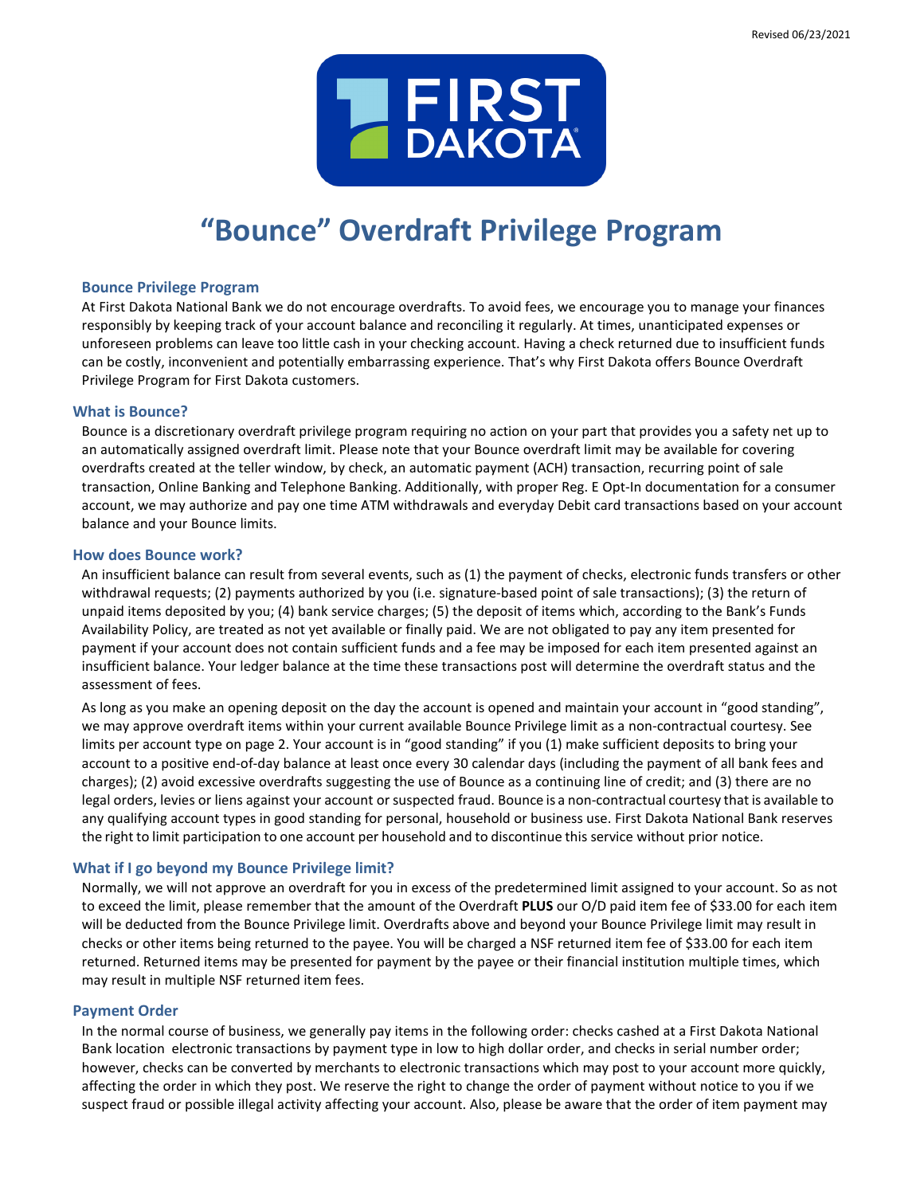

# **"Bounce" Overdraft Privilege Program**

### **Bounce Privilege Program**

At First Dakota National Bank we do not encourage overdrafts. To avoid fees, we encourage you to manage your finances responsibly by keeping track of your account balance and reconciling it regularly. At times, unanticipated expenses or unforeseen problems can leave too little cash in your checking account. Having a check returned due to insufficient funds can be costly, inconvenient and potentially embarrassing experience. That's why First Dakota offers Bounce Overdraft Privilege Program for First Dakota customers.

## **What is Bounce?**

Bounce is a discretionary overdraft privilege program requiring no action on your part that provides you a safety net up to an automatically assigned overdraft limit. Please note that your Bounce overdraft limit may be available for covering overdrafts created at the teller window, by check, an automatic payment (ACH) transaction, recurring point of sale transaction, Online Banking and Telephone Banking. Additionally, with proper Reg. E Opt‐In documentation for a consumer account, we may authorize and pay one time ATM withdrawals and everyday Debit card transactions based on your account balance and your Bounce limits.

#### **How does Bounce work?**

An insufficient balance can result from several events, such as (1) the payment of checks, electronic funds transfers or other withdrawal requests; (2) payments authorized by you (i.e. signature-based point of sale transactions); (3) the return of unpaid items deposited by you; (4) bank service charges; (5) the deposit of items which, according to the Bank's Funds Availability Policy, are treated as not yet available or finally paid. We are not obligated to pay any item presented for payment if your account does not contain sufficient funds and a fee may be imposed for each item presented against an insufficient balance. Your ledger balance at the time these transactions post will determine the overdraft status and the assessment of fees.

As long as you make an opening deposit on the day the account is opened and maintain your account in "good standing", we may approve overdraft items within your current available Bounce Privilege limit as a non-contractual courtesy. See limits per account type on page 2. Your account is in "good standing" if you (1) make sufficient deposits to bring your account to a positive end‐of‐day balance at least once every 30 calendar days (including the payment of all bank fees and charges); (2) avoid excessive overdrafts suggesting the use of Bounce as a continuing line of credit; and (3) there are no legal orders, levies or liens against your account or suspected fraud. Bounce is a non‐contractual courtesy that is available to any qualifying account types in good standing for personal, household or business use. First Dakota National Bank reserves the right to limit participation to one account per household and to discontinue this service without prior notice.

## **What if I go beyond my Bounce Privilege limit?**

Normally, we will not approve an overdraft for you in excess of the predetermined limit assigned to your account. So as not to exceed the limit, please remember that the amount of the Overdraft **PLUS** our O/D paid item fee of \$33.00 for each item will be deducted from the Bounce Privilege limit. Overdrafts above and beyond your Bounce Privilege limit may result in checks or other items being returned to the payee. You will be charged a NSF returned item fee of \$33.00 for each item returned. Returned items may be presented for payment by the payee or their financial institution multiple times, which may result in multiple NSF returned item fees.

#### **Payment Order**

In the normal course of business, we generally pay items in the following order: checks cashed at a First Dakota National Bank location electronic transactions by payment type in low to high dollar order, and checks in serial number order; however, checks can be converted by merchants to electronic transactions which may post to your account more quickly, affecting the order in which they post. We reserve the right to change the order of payment without notice to you if we suspect fraud or possible illegal activity affecting your account. Also, please be aware that the order of item payment may